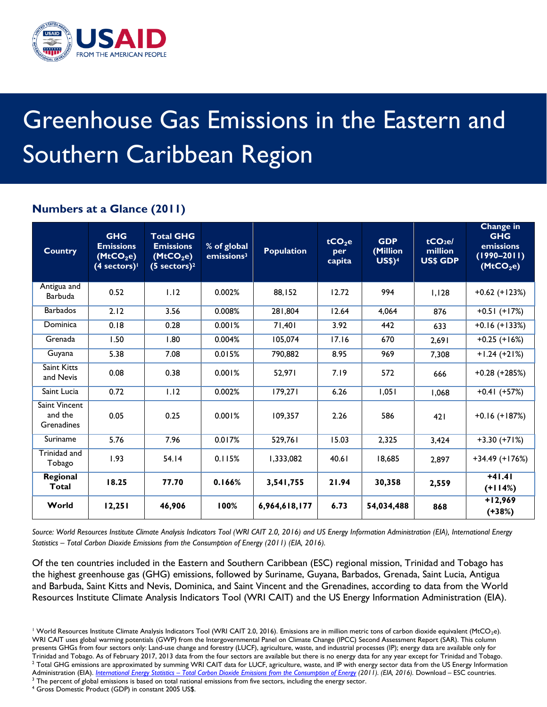

# Greenhouse Gas Emissions in the Eastern and Southern Caribbean Region

# **Numbers at a Glance (2011)**

| <b>Country</b>                                | <b>GHG</b><br><b>Emissions</b><br>(MtCO <sub>2</sub> e)<br>(4 sectors) | <b>Total GHG</b><br><b>Emissions</b><br>(MtCO <sub>2</sub> e)<br>$(5 \text{ sectors})^2$ | % of global<br>emissions <sup>3</sup> | <b>Population</b> | tCO <sub>2</sub> e<br>per<br>capita | <b>GDP</b><br>(Million<br><b>US\$)4</b> | tCO <sub>2</sub> el<br>million<br><b>US\$ GDP</b> | <b>Change in</b><br><b>GHG</b><br>emissions<br>$(1990 - 2011)$<br>(MtCO <sub>2</sub> e) |
|-----------------------------------------------|------------------------------------------------------------------------|------------------------------------------------------------------------------------------|---------------------------------------|-------------------|-------------------------------------|-----------------------------------------|---------------------------------------------------|-----------------------------------------------------------------------------------------|
| Antigua and<br><b>Barbuda</b>                 | 0.52                                                                   | 1.12                                                                                     | 0.002%                                | 88,152            | 12.72                               | 994                                     | 1,128                                             | $+0.62 (+123%)$                                                                         |
| <b>Barbados</b>                               | 2.12                                                                   | 3.56                                                                                     | 0.008%                                | 281,804           | 12.64                               | 4,064                                   | 876                                               | $+0.51 (+17%)$                                                                          |
| Dominica                                      | 0.18                                                                   | 0.28                                                                                     | 0.001%                                | 71,401            | 3.92                                | 442                                     | 633                                               | $+0.16 (+133%)$                                                                         |
| Grenada                                       | 1.50                                                                   | 1.80                                                                                     | 0.004%                                | 105,074           | 17.16                               | 670                                     | 2,691                                             | $+0.25 (+16%)$                                                                          |
| Guyana                                        | 5.38                                                                   | 7.08                                                                                     | 0.015%                                | 790,882           | 8.95                                | 969                                     | 7,308                                             | $+1.24 (+21%)$                                                                          |
| Saint Kitts<br>and Nevis                      | 0.08                                                                   | 0.38                                                                                     | 0.001%                                | 52.971            | 7.19                                | 572                                     | 666                                               | $+0.28 (+285%)$                                                                         |
| Saint Lucia                                   | 0.72                                                                   | 1.12                                                                                     | 0.002%                                | 179,271           | 6.26                                | 1,051                                   | 1,068                                             | $+0.41 (+57%)$                                                                          |
| Saint Vincent<br>and the<br><b>Grenadines</b> | 0.05                                                                   | 0.25                                                                                     | 0.001%                                | 109,357           | 2.26                                | 586                                     | 421                                               | $+0.16 (+187%)$                                                                         |
| Suriname                                      | 5.76                                                                   | 7.96                                                                                     | 0.017%                                | 529,761           | 15.03                               | 2,325                                   | 3,424                                             | $+3.30 (+71%)$                                                                          |
| Trinidad and<br>Tobago                        | 1.93                                                                   | 54.14                                                                                    | 0.115%                                | 1,333,082         | 40.61                               | 18,685                                  | 2,897                                             | $+34.49 (+176%)$                                                                        |
| Regional<br>Total                             | 18.25                                                                  | 77.70                                                                                    | 0.166%                                | 3,541,755         | 21.94                               | 30,358                                  | 2,559                                             | $+41.41$<br>$(+114%)$                                                                   |
| World                                         | 12,251                                                                 | 46,906                                                                                   | 100%                                  | 6,964,618,177     | 6.73                                | 54,034,488                              | 868                                               | $+12,969$<br>$(+38%)$                                                                   |

*Source: World Resources Institute Climate Analysis Indicators Tool (WRI CAIT 2.0, 2016) and US Energy Information Administration (EIA), International Energy Statistics – Total Carbon Dioxide Emissions from the Consumption of Energy (2011) (EIA, 2016).*

Of the ten countries included in the Eastern and Southern Caribbean (ESC) regional mission, Trinidad and Tobago has the highest greenhouse gas (GHG) emissions, followed by Suriname, Guyana, Barbados, Grenada, Saint Lucia, Antigua and Barbuda, Saint Kitts and Nevis, Dominica, and Saint Vincent and the Grenadines, according to data from the World Resources Institute Climate Analysis Indicators Tool (WRI CAIT) and the US Energy Information Administration (EIA).

<sup>1</sup> World Resources Institute Climate Analysis Indicators Tool (WRI CAIT 2.0, 2016). Emissions are in million metric tons of carbon dioxide equivalent (MtCO<sub>2</sub>e). WRI CAIT uses global warming potentials (GWP) from the Intergovernmental Panel on Climate Change (IPCC) Second Assessment Report (SAR). This column presents GHGs from four sectors only: Land-use change and forestry (LUCF), agriculture, waste, and industrial processes (IP); energy data are available only for Trinidad and Tobago. As of February 2017, 2013 data from the four sectors are available but there is no energy data for any year except for Trinidad and Tobago. <sup>2</sup> Total GHG emissions are approximated by summing WRI CAIT data for LUCF, agriculture, waste, and IP with energy sector data from the US Energy Information Administration (EIA). *International Energy Statistics – [Total Carbon Dioxide Emissions from the Consumption of Energy](http://www.eia.gov/beta/international/data/browser/#/?pa=00000000000000000000000002&c=0000000000000000000000000000000000000000000002&ct=0&vs=INTL.44-8-TTO-MMTCD.A&vo=0&v=H&start=1980&end=2014) (2011). (EIA, 2016).* Download – ESC countries.

<sup>3</sup> The percent of global emissions is based on total national emissions from five sectors, including the energy sector.

<sup>4</sup> Gross Domestic Product (GDP) in constant 2005 US\$.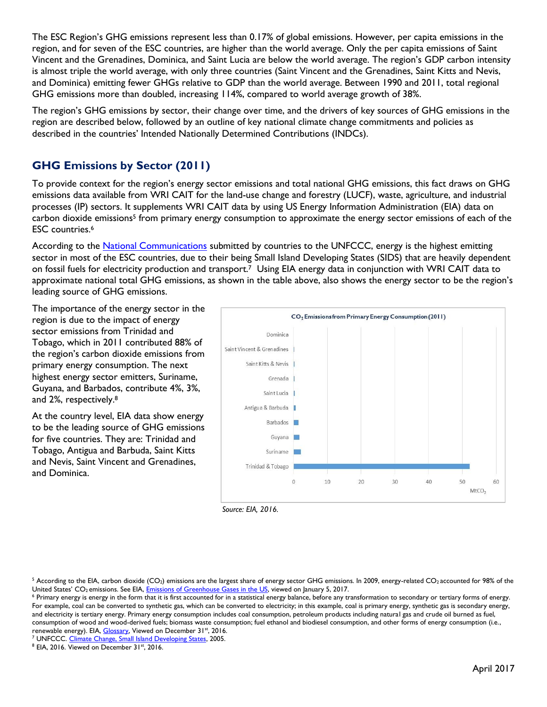The ESC Region's GHG emissions represent less than 0.17% of global emissions. However, per capita emissions in the region, and for seven of the ESC countries, are higher than the world average. Only the per capita emissions of Saint Vincent and the Grenadines, Dominica, and Saint Lucia are below the world average. The region's GDP carbon intensity is almost triple the world average, with only three countries (Saint Vincent and the Grenadines, Saint Kitts and Nevis, and Dominica) emitting fewer GHGs relative to GDP than the world average. Between 1990 and 2011, total regional GHG emissions more than doubled, increasing 114%, compared to world average growth of 38%.

The region's GHG emissions by sector, their change over time, and the drivers of key sources of GHG emissions in the region are described below, followed by an outline of key national climate change commitments and policies as described in the countries' Intended Nationally Determined Contributions (INDCs).

# **GHG Emissions by Sector (2011)**

To provide context for the region's energy sector emissions and total national GHG emissions, this fact draws on GHG emissions data available from WRI CAIT for the land-use change and forestry (LUCF), waste, agriculture, and industrial processes (IP) sectors. It supplements WRI CAIT data by using US Energy Information Administration (EIA) data on carbon dioxide emissions<sup>5</sup> from primary energy consumption to approximate the energy sector emissions of each of the ESC countries.6

According to the [National Communications](http://unfccc.int/national_reports/non-annex_i_natcom/items/2979.php) submitted by countries to the UNFCCC, energy is the highest emitting sector in most of the ESC countries, due to their being Small Island Developing States (SIDS) that are heavily dependent on fossil fuels for electricity production and transport.7 Using EIA energy data in conjunction with WRI CAIT data to approximate national total GHG emissions, as shown in the table above, also shows the energy sector to be the region's leading source of GHG emissions.

The importance of the energy sector in the region is due to the impact of energy sector emissions from Trinidad and Tobago, which in 2011 contributed 88% of the region's carbon dioxide emissions from primary energy consumption. The next highest energy sector emitters, Suriname, Guyana, and Barbados, contribute 4%, 3%, and 2%, respectively.8

At the country level, EIA data show energy to be the leading source of GHG emissions for five countries. They are: Trinidad and Tobago, Antigua and Barbuda, Saint Kitts and Nevis, Saint Vincent and Grenadines, and Dominica.



*Source: EIA, 2016.*

<sup>5</sup> According to the EIA, carbon dioxide (CO<sub>2</sub>) emissions are the largest share of energy sector GHG emissions. In 2009, energy-related CO<sub>2</sub> accounted for 98% of the United States' CO<sub>2</sub> emissions. See EIA[, Emissions of Greenhouse Gases in the US,](https://www.eia.gov/environment/emissions/ghg_report/ghg_carbon.cfm) viewed on January 5, 2017.

renewable energy). EIA, <u>Glossary</u>, Viewed on December 31<sup>st</sup>, 2016.<br><sup>7</sup> UNFCCC. <u>Climate Change, Small Island Developing States</u>, 2005.<br><sup>8</sup> EIA, 2016. Viewed on December 31<sup>st</sup>, 2016.

<sup>6</sup> Primary energy is energy in the form that it is first accounted for in a statistical energy balance, before any transformation to secondary or tertiary forms of energy. For example, coal can be converted to synthetic gas, which can be converted to electricity; in this example, coal is primary energy, synthetic gas is secondary energy, and electricity is tertiary energy. Primary energy consumption includes coal consumption, petroleum products including natural gas and crude oil burned as fuel, consumption of wood and wood-derived fuels; biomass waste consumption; fuel ethanol and biodiesel consumption, and other forms of energy consumption (i.e.,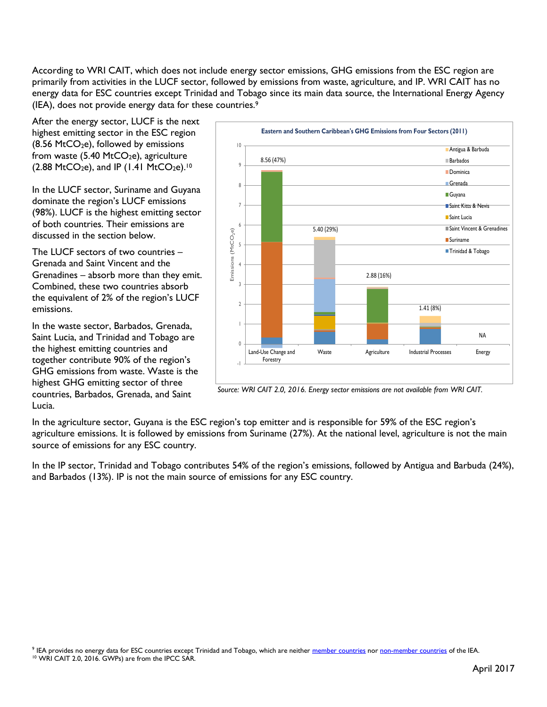According to WRI CAIT, which does not include energy sector emissions, GHG emissions from the ESC region are primarily from activities in the LUCF sector, followed by emissions from waste, agriculture, and IP. WRI CAIT has no energy data for ESC countries except Trinidad and Tobago since its main data source, the International Energy Agency (IEA), does not provide energy data for these countries.9

After the energy sector, LUCF is the next highest emitting sector in the ESC region  $(8.56 \text{ MtCO}_2e)$ , followed by emissions from waste  $(5.40 \text{ MtCO}_2e)$ , agriculture  $(2.88 \text{ MtCO}_2e)$ , and IP  $(1.41 \text{ MtCO}_2e)$ .<sup>10</sup>

In the LUCF sector, Suriname and Guyana dominate the region's LUCF emissions (98%). LUCF is the highest emitting sector of both countries. Their emissions are discussed in the section below.

The LUCF sectors of two countries – Grenada and Saint Vincent and the Grenadines – absorb more than they emit. Combined, these two countries absorb the equivalent of 2% of the region's LUCF emissions.

In the waste sector, Barbados, Grenada, Saint Lucia, and Trinidad and Tobago are the highest emitting countries and together contribute 90% of the region's GHG emissions from waste. Waste is the highest GHG emitting sector of three countries, Barbados, Grenada, and Saint Lucia.



*Source: WRI CAIT 2.0, 2016. Energy sector emissions are not available from WRI CAIT.*

In the agriculture sector, Guyana is the ESC region's top emitter and is responsible for 59% of the ESC region's agriculture emissions. It is followed by emissions from Suriname (27%). At the national level, agriculture is not the main source of emissions for any ESC country.

In the IP sector, Trinidad and Tobago contributes 54% of the region's emissions, followed by Antigua and Barbuda (24%), and Barbados (13%). IP is not the main source of emissions for any ESC country.

<sup>&</sup>lt;sup>9</sup> IEA provides no energy data for ESC countries except Trinidad and Tobago, which are neither <u>member countries</u> nor <u>non-member countries</u> of the IEA. <sup>10</sup> WRI CAIT 2.0, 2016. GWPs) are from the IPCC SAR.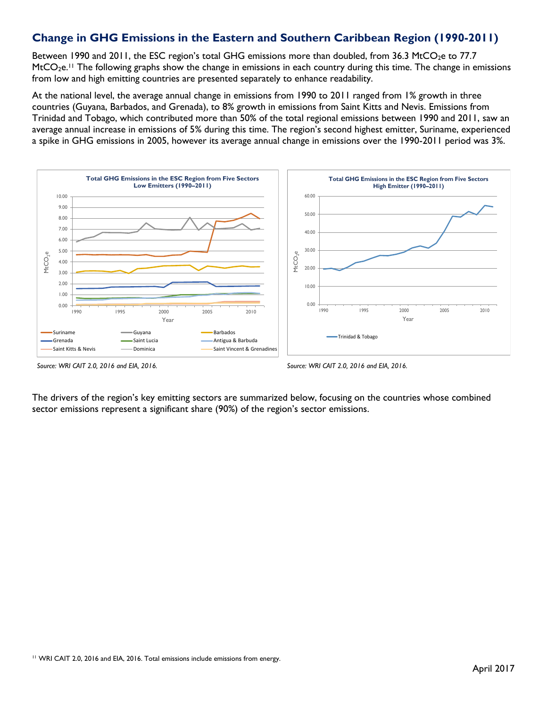# **Change in GHG Emissions in the Eastern and Southern Caribbean Region (1990-2011)**

Between 1990 and 2011, the ESC region's total GHG emissions more than doubled, from 36.3 MtCO<sub>2</sub>e to 77.7 MtCO<sub>2</sub>e.<sup>11</sup> The following graphs show the change in emissions in each country during this time. The change in emissions from low and high emitting countries are presented separately to enhance readability.

At the national level, the average annual change in emissions from 1990 to 2011 ranged from 1% growth in three countries (Guyana, Barbados, and Grenada), to 8% growth in emissions from Saint Kitts and Nevis. Emissions from Trinidad and Tobago, which contributed more than 50% of the total regional emissions between 1990 and 2011, saw an average annual increase in emissions of 5% during this time. The region's second highest emitter, Suriname, experienced a spike in GHG emissions in 2005, however its average annual change in emissions over the 1990-2011 period was 3%.



*Source: WRI CAIT 2.0, 2016 and EIA, 2016. Source: WRI CAIT 2.0, 2016 and EIA, 2016.*

The drivers of the region's key emitting sectors are summarized below, focusing on the countries whose combined sector emissions represent a significant share (90%) of the region's sector emissions.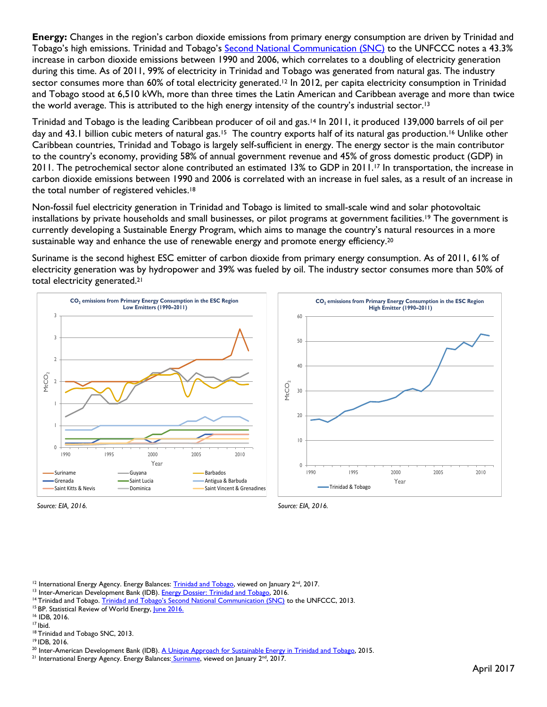**Energy:** Changes in the region's carbon dioxide emissions from primary energy consumption are driven by Trinidad and Tobago's high emissions. Trinidad and Tobago's [Second National Communication \(SNC\)](http://unfccc.int/resource/docs/natc/ttonc2.pdf) to the UNFCCC notes a 43.3% increase in carbon dioxide emissions between 1990 and 2006, which correlates to a doubling of electricity generation during this time. As of 2011, 99% of electricity in Trinidad and Tobago was generated from natural gas. The industry sector consumes more than 60% of total electricity generated. <sup>12</sup> In 2012, per capita electricity consumption in Trinidad and Tobago stood at 6,510 kWh, more than three times the Latin American and Caribbean average and more than twice the world average. This is attributed to the high energy intensity of the country's industrial sector.<sup>13</sup>

Trinidad and Tobago is the leading Caribbean producer of oil and gas. <sup>14</sup> In 2011, it produced 139,000 barrels of oil per day and 43.1 billion cubic meters of natural gas.<sup>15</sup> The country exports half of its natural gas production.<sup>16</sup> Unlike other Caribbean countries, Trinidad and Tobago is largely self-sufficient in energy. The energy sector is the main contributor to the country's economy, providing 58% of annual government revenue and 45% of gross domestic product (GDP) in 2011. The petrochemical sector alone contributed an estimated 13% to GDP in 2011.17 In transportation, the increase in carbon dioxide emissions between 1990 and 2006 is correlated with an increase in fuel sales, as a result of an increase in the total number of registered vehicles.<sup>18</sup>

Non-fossil fuel electricity generation in Trinidad and Tobago is limited to small-scale wind and solar photovoltaic installations by private households and small businesses, or pilot programs at government facilities. <sup>19</sup> The government is currently developing a Sustainable Energy Program, which aims to manage the country's natural resources in a more sustainable way and enhance the use of renewable energy and promote energy efficiency.<sup>20</sup>

Suriname is the second highest ESC emitter of carbon dioxide from primary energy consumption. As of 2011, 61% of electricity generation was by hydropower and 39% was fueled by oil. The industry sector consumes more than 50% of total electricity generated.21



*Source: EIA, 2016. Source: EIA, 2016.* 

<sup>12</sup> International Energy Agency. Energy Balances: [Trinidad and Tobago,](https://www.iea.org/statistics/statisticssearch/report/?country=TRINIDAD&product=electricityandheat&year=2011) viewed on January 2<sup>nd</sup>, 2017.<br><sup>13</sup> Inter-American Development Bank (IDB). [Energy Dossier: Trinidad and Tobago,](https://publications.iadb.org/bitstream/handle/11319/7447/Energy-Dossier-Trinidad-and-Tobago.pdf?sequence=1) 2016.

- 
- <sup>14</sup> Trinidad and Tobago. [Trinidad and Tobago's Second National Communication \(SNC\)](http://unfccc.int/resource/docs/natc/ttonc2.pdf) to the UNFCCC, 2013.
- <sup>15</sup> BP. Statistical Review of World Energy[, June 2016.](https://www.bp.com/content/dam/bp/pdf/energy-economics/statistical-review-2016/bp-statistical-review-of-world-energy-2016-full-report.pdf)<br><sup>16</sup> IDB, 2016.

<sup>&</sup>lt;sup>17</sup> Ibid.<br><sup>18</sup> Trinidad and Tobago [SNC, 2013.](http://unfccc.int/resource/docs/natc/ttonc2.pdf)<br><sup>19</sup> IDB, 2016.

<sup>&</sup>lt;sup>20</sup> Inter-American Development Bank (IDB). A Unique Approach [for Sustainable Energy in Trinidad and Tobago,](http://www.energy.gov.tt/wp-content/uploads/2016/08/A-Unique-Approach-for-Sustainable-Energy-in-Trinidad-and-Tobago.pdf) 2015.

<sup>&</sup>lt;sup>21</sup> International Energy Agency. Energy Balances: [Suriname,](https://www.iea.org/statistics/statisticssearch/report/?country=SURINAME&product=electricityandheat&year=2011) viewed on January 2<sup>nd</sup>, 2017.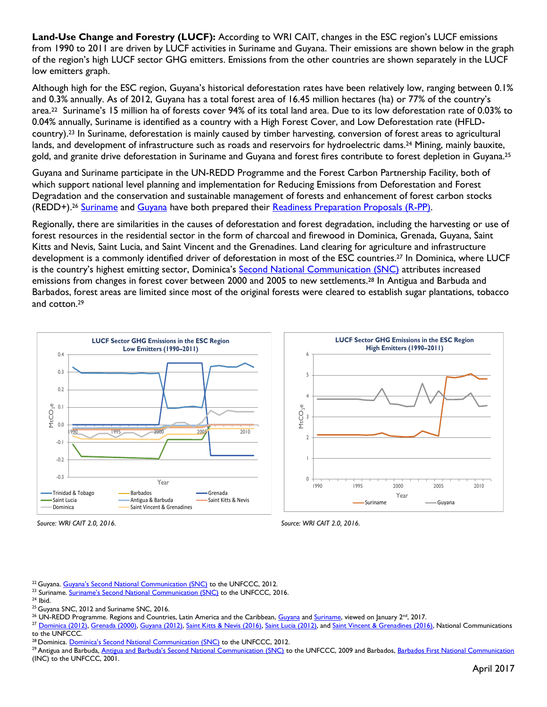**Land-Use Change and Forestry (LUCF):** According to WRI CAIT, changes in the ESC region's LUCF emissions from 1990 to 2011 are driven by LUCF activities in Suriname and Guyana. Their emissions are shown below in the graph of the region's high LUCF sector GHG emitters. Emissions from the other countries are shown separately in the LUCF low emitters graph.

Although high for the ESC region, Guyana's historical deforestation rates have been relatively low, ranging between 0.1% and 0.3% annually. As of 2012, Guyana has a total forest area of 16.45 million hectares (ha) or 77% of the country's area.22 Suriname's 15 million ha of forests cover 94% of its total land area. Due to its low deforestation rate of 0.03% to 0.04% annually, Suriname is identified as a country with a High Forest Cover, and Low Deforestation rate (HFLDcountry).23 In Suriname, deforestation is mainly caused by timber harvesting, conversion of forest areas to agricultural lands, and development of infrastructure such as roads and reservoirs for hydroelectric dams.<sup>24</sup> Mining, mainly bauxite, gold, and granite drive deforestation in Suriname and Guyana and forest fires contribute to forest depletion in Guyana.<sup>25</sup>

Guyana and Suriname participate in the UN-REDD Programme and the Forest Carbon Partnership Facility, both of which support national level planning and implementation for Reducing Emissions from Deforestation and Forest Degradation and the conservation and sustainable management of forests and enhancement of forest carbon stocks (REDD+).26 [Suriname](http://www.forestcarbonpartnership.org/sites/fcp/files/2013/SSuriname_R-PP-finaldraft_23Feb.pdf) and [Guyana](https://www.forestcarbonpartnership.org/sites/forestcarbonpartnership.org/files/Documents/PDF/Dec2010/Guyana_Readiness_Preparation_Proposal_April_2010_Revised.pdf) have both prepared their [Readiness Preparation Proposals](http://www.unredd.net/documents/un-redd-partner-countries-181/latin-america-the-caribbean-334/guyana-308/guyana-rpp-and-related-documents-874/2558-guyana-readiness-preparation-proposal-april-2010-revised-2558.html) (R-PP).

Regionally, there are similarities in the causes of deforestation and forest degradation, including the harvesting or use of forest resources in the residential sector in the form of charcoal and firewood in Dominica, Grenada, Guyana, Saint Kitts and Nevis, Saint Lucia, and Saint Vincent and the Grenadines. Land clearing for agriculture and infrastructure development is a commonly identified driver of deforestation in most of the ESC countries. <sup>27</sup> In Dominica, where LUCF is the country's highest emitting sector, Dominica's [Second National Communication \(SNC\)](http://unfccc.int/resource/docs/natc/dmanc2.pdf) attributes increased emissions from changes in forest cover between 2000 and 2005 to new settlements.28 In Antigua and Barbuda and Barbados, forest areas are limited since most of the original forests were cleared to establish sugar plantations, tobacco and cotton.29



*Source: WRI CAIT 2.0, 2016. Source: WRI CAIT 2.0, 2016.*



<sup>22</sup> Guyana. [Guyana's Second National Communication \(SNC\)](http://unfccc.int/resource/docs/natc/guync2.pdf) to the UNFCCC, 2012.

<sup>&</sup>lt;sup>23</sup> Suriname. [Suriname's Second Nation](http://unfccc.int/resource/docs/natc/surnc2rev.pdf)al Communication (SNC) to the UNFCCC, 2016.<br><sup>24</sup> Ibid.

<sup>&</sup>lt;sup>25</sup> Guyana SNC, 2012 and Suriname SNC, 2016.<br><sup>26</sup> UN-REDD Programme. Regions and Countries, Latin America and the Caribbean, <u>Guyana</u> and <u>Suriname</u>, viewed on January 2<sup>nd</sup>, 2017.

<sup>&</sup>lt;sup>27</sup> [Dominica \(2012\),](http://unfccc.int/resource/docs/natc/dmanc2.pdf) [Grenada \(2000\),](http://unfccc.int/resource/docs/natc/grnnc1.pdf) [Guyana \(2012\),](http://unfccc.int/resource/docs/natc/guync2.pdf) [Saint Kitts & Nevis \(2016\),](http://unfccc.int/resource/docs/natc/kitnc1.pdf) [Saint Lucia \(2012\),](http://unfccc.int/resource/docs/natc/lcanc2.pdf) an[d Saint Vincent & Grenadines \(2016\),](http://unfccc.int/resource/docs/natc/vctnc2.pdf) National Communications to the UNFCCC.<br><sup>28</sup> Dominica. <u>Dominica's Second National Communication (SNC)</u> to the UNFCCC, 2012.

<sup>&</sup>lt;sup>29</sup> Antigua and Barbuda, [Antigua and Barbuda's Second National Communication \(SNC\)](http://unfccc.int/resource/docs/natc/antnc2.pdf) to the UNFCCC, 2009 and Barbados, [Barbados First National Communication](http://unfccc.int/resource/docs/natc/barnc1.pdf) (INC) to the UNFCCC, 2001.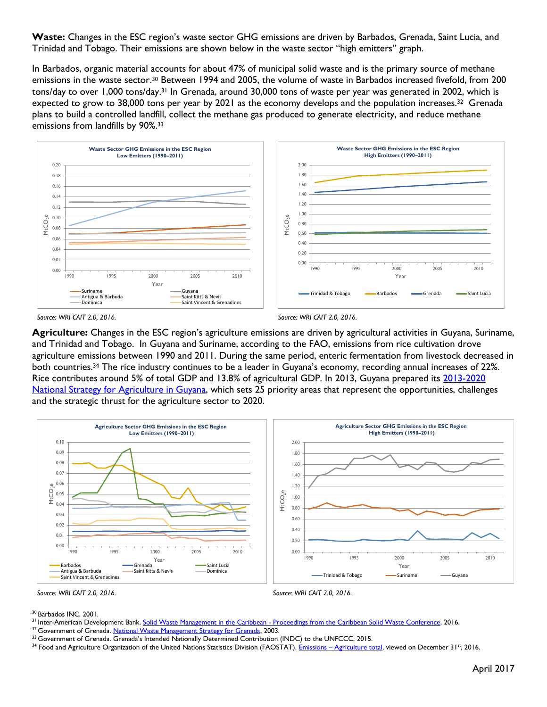**Waste:** Changes in the ESC region's waste sector GHG emissions are driven by Barbados, Grenada, Saint Lucia, and Trinidad and Tobago. Their emissions are shown below in the waste sector "high emitters" graph.

In Barbados, organic material accounts for about 47% of municipal solid waste and is the primary source of methane emissions in the waste sector.30 Between 1994 and 2005, the volume of waste in Barbados increased fivefold, from 200 tons/day to over 1,000 tons/day.31 In Grenada, around 30,000 tons of waste per year was generated in 2002, which is expected to grow to 38,000 tons per year by 2021 as the economy develops and the population increases.<sup>32</sup> Grenada plans to build a controlled landfill, collect the methane gas produced to generate electricity, and reduce methane emissions from landfills by 90%.<sup>33</sup>



*Source: WRI CAIT 2.0, 2016. Source: WRI CAIT 2.0, 2016.*

**Agriculture:** Changes in the ESC region's agriculture emissions are driven by agricultural activities in Guyana, Suriname, and Trinidad and Tobago. In Guyana and Suriname, according to the FAO, emissions from rice cultivation drove agriculture emissions between 1990 and 2011. During the same period, enteric fermentation from livestock decreased in both countries.34 The rice industry continues to be a leader in Guyana's economy, recording annual increases of 22%. Rice contributes around 5% of total GDP and 13.8% of agricultural GDP. In 2013, Guyana prepared its [2013-2020](http://cms2.caricom.org/documents/11264-moa_agriculture_strategy_2013-2020_-_cd.pdf)  [National Strategy for Agriculture in Guyana,](http://cms2.caricom.org/documents/11264-moa_agriculture_strategy_2013-2020_-_cd.pdf) which sets 25 priority areas that represent the opportunities, challenges and the strategic thrust for the agriculture sector to 2020.



*Source: WRI CAIT 2.0, 2016. Source: WRI CAIT 2.0, 2016.*

- <sup>30</sup> Barbados INC, 2001.<br><sup>31</sup> Inter-American Development Bank. <u>Solid Waste Management in the Caribbean [Proceedings from the Caribbean Solid Waste Conference,](https://publications.iadb.org/bitstream/handle/11319/7650/Solid-Waste-Management-in-the-Caribbean-Proceedings-from-the-Caribbean-Solid-Waste-Conference.pdf?sequence=1) 2016.<br><sup>32</sup> Government of Grenada. <u>National Waste Management </u></u>
- 
- <sup>33</sup> Government of Grenada. Grenada's Intended Nationally Determined Contribution (INDC) to the UNFCCC, 2015.
- <sup>34</sup> Food and Agriculture Organization of the United Nations Statistics Division (FAOSTAT). *Emissions Agriculture total*, viewed on December 31<sup>st</sup>, 2016.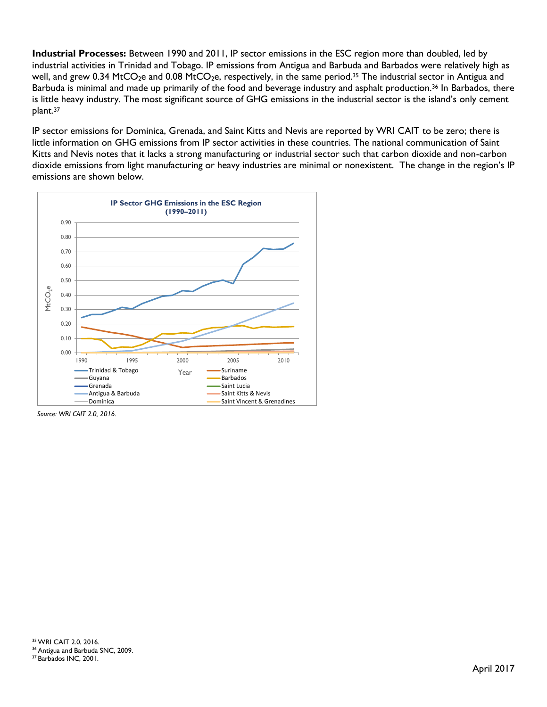**Industrial Processes:** Between 1990 and 2011, IP sector emissions in the ESC region more than doubled, led by industrial activities in Trinidad and Tobago. IP emissions from Antigua and Barbuda and Barbados were relatively high as well, and grew 0.34 MtCO<sub>2</sub>e and 0.08 MtCO<sub>2</sub>e, respectively, in the same period.<sup>35</sup> The industrial sector in Antigua and Barbuda is minimal and made up primarily of the food and beverage industry and asphalt production.<sup>36</sup> In Barbados, there is little heavy industry. The most significant source of GHG emissions in the industrial sector is the island's only cement plant.37

IP sector emissions for Dominica, Grenada, and Saint Kitts and Nevis are reported by WRI CAIT to be zero; there is little information on GHG emissions from IP sector activities in these countries. The national communication of Saint Kitts and Nevis notes that it lacks a strong manufacturing or industrial sector such that carbon dioxide and non-carbon dioxide emissions from light manufacturing or heavy industries are minimal or nonexistent. The change in the region's IP emissions are shown below.



*Source: WRI CAIT 2.0, 2016.* 

<sup>35</sup> WRI CAIT 2.0, 2016. <sup>36</sup> Antigua and Barbuda SNC, 2009. <sup>37</sup> Barbados INC, 2001.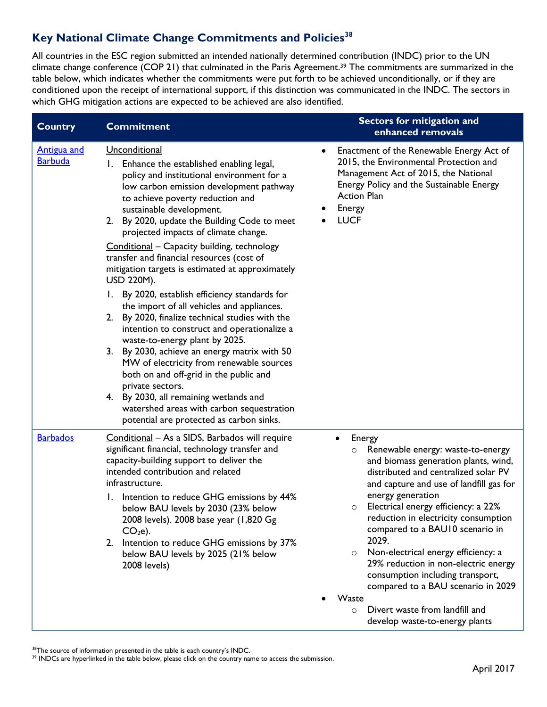# **Key National Climate Change Commitments and Policies38**

All countries in the ESC region submitted an intended nationally determined contribution (INDC) prior to the UN climate change conference (COP 21) that culminated in the Paris Agreement.<sup>39</sup> The commitments are summarized in the table below, which indicates whether the commitments were put forth to be achieved unconditionally, or if they are conditioned upon the receipt of international support, if this distinction was communicated in the INDC. The sectors in which GHG mitigation actions are expected to be achieved are also identified.

| <b>Country</b>                       | <b>Commitment</b>                                                                                                                                                                                                                                                                                                                                                                                                                                                                                                                                                                                                                                                                                                                                                                                                                                                                                                                                                                                                  | <b>Sectors for mitigation and</b><br>enhanced removals                                                                                                                                                                                                                                                                                                                                                                                                                                                                                                                  |
|--------------------------------------|--------------------------------------------------------------------------------------------------------------------------------------------------------------------------------------------------------------------------------------------------------------------------------------------------------------------------------------------------------------------------------------------------------------------------------------------------------------------------------------------------------------------------------------------------------------------------------------------------------------------------------------------------------------------------------------------------------------------------------------------------------------------------------------------------------------------------------------------------------------------------------------------------------------------------------------------------------------------------------------------------------------------|-------------------------------------------------------------------------------------------------------------------------------------------------------------------------------------------------------------------------------------------------------------------------------------------------------------------------------------------------------------------------------------------------------------------------------------------------------------------------------------------------------------------------------------------------------------------------|
| <b>Antigua and</b><br><b>Barbuda</b> | Unconditional<br>1. Enhance the established enabling legal,<br>policy and institutional environment for a<br>low carbon emission development pathway<br>to achieve poverty reduction and<br>sustainable development.<br>2. By 2020, update the Building Code to meet<br>projected impacts of climate change.<br>Conditional - Capacity building, technology<br>transfer and financial resources (cost of<br>mitigation targets is estimated at approximately<br><b>USD 220M).</b><br>1. By 2020, establish efficiency standards for<br>the import of all vehicles and appliances.<br>2. By 2020, finalize technical studies with the<br>intention to construct and operationalize a<br>waste-to-energy plant by 2025.<br>3. By 2030, achieve an energy matrix with 50<br>MW of electricity from renewable sources<br>both on and off-grid in the public and<br>private sectors.<br>4. By 2030, all remaining wetlands and<br>watershed areas with carbon sequestration<br>potential are protected as carbon sinks. | Enactment of the Renewable Energy Act of<br>٠<br>2015, the Environmental Protection and<br>Management Act of 2015, the National<br>Energy Policy and the Sustainable Energy<br><b>Action Plan</b><br>Energy<br><b>LUCF</b>                                                                                                                                                                                                                                                                                                                                              |
| <b>Barbados</b>                      | Conditional - As a SIDS, Barbados will require<br>significant financial, technology transfer and<br>capacity-building support to deliver the<br>intended contribution and related<br>infrastructure.<br>Intention to reduce GHG emissions by 44%<br>Ι.<br>below BAU levels by 2030 (23% below<br>2008 levels). 2008 base year (1,820 Gg)<br>$CO2e$ ).<br>Intention to reduce GHG emissions by 37%<br>2.<br>below BAU levels by 2025 (21% below<br>2008 levels)                                                                                                                                                                                                                                                                                                                                                                                                                                                                                                                                                     | Energy<br>$\bullet$<br>Renewable energy: waste-to-energy<br>O<br>and biomass generation plants, wind,<br>distributed and centralized solar PV<br>and capture and use of landfill gas for<br>energy generation<br>Electrical energy efficiency: a 22%<br>O<br>reduction in electricity consumption<br>compared to a BAU10 scenario in<br>2029.<br>Non-electrical energy efficiency: a<br>$\circ$<br>29% reduction in non-electric energy<br>consumption including transport,<br>compared to a BAU scenario in 2029<br>Waste<br>Divert waste from landfill and<br>$\circ$ |
|                                      |                                                                                                                                                                                                                                                                                                                                                                                                                                                                                                                                                                                                                                                                                                                                                                                                                                                                                                                                                                                                                    | develop waste-to-energy plants                                                                                                                                                                                                                                                                                                                                                                                                                                                                                                                                          |

<sup>38</sup>The source of information presented in the table is each country's INDC.

<sup>39</sup> INDCs are hyperlinked in the table below, please click on the country name to access the submission.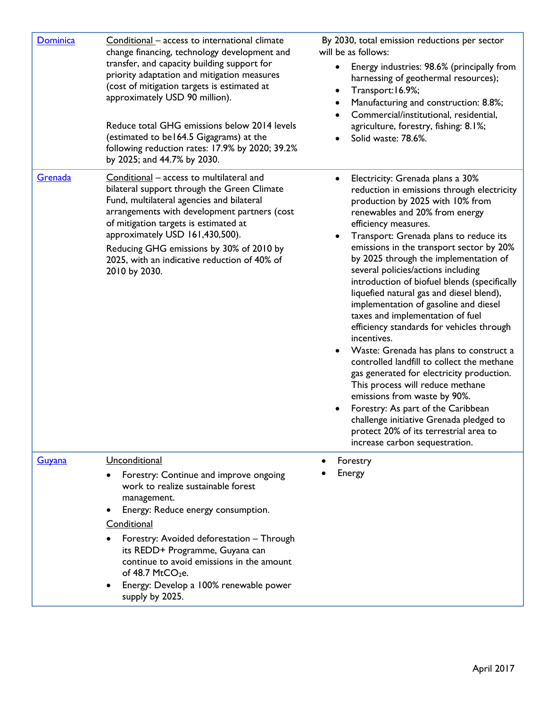| <b>Dominica</b> | Conditional - access to international climate<br>change financing, technology development and<br>transfer, and capacity building support for<br>priority adaptation and mitigation measures<br>(cost of mitigation targets is estimated at<br>approximately USD 90 million).<br>Reduce total GHG emissions below 2014 levels<br>(estimated to be164.5 Gigagrams) at the<br>following reduction rates: 17.9% by 2020; 39.2%<br>by 2025; and 44.7% by 2030. | By 2030, total emission reductions per sector<br>will be as follows:<br>Energy industries: 98.6% (principally from<br>$\bullet$<br>harnessing of geothermal resources);<br>Transport: 16.9%;<br>$\bullet$<br>Manufacturing and construction: 8.8%;<br>٠<br>Commercial/institutional, residential,<br>$\bullet$<br>agriculture, forestry, fishing: 8.1%;<br>Solid waste: 78.6%.                                                                                                                                                                                                                                                                                                                                                                                                                                                                                                                                                                                                  |
|-----------------|-----------------------------------------------------------------------------------------------------------------------------------------------------------------------------------------------------------------------------------------------------------------------------------------------------------------------------------------------------------------------------------------------------------------------------------------------------------|---------------------------------------------------------------------------------------------------------------------------------------------------------------------------------------------------------------------------------------------------------------------------------------------------------------------------------------------------------------------------------------------------------------------------------------------------------------------------------------------------------------------------------------------------------------------------------------------------------------------------------------------------------------------------------------------------------------------------------------------------------------------------------------------------------------------------------------------------------------------------------------------------------------------------------------------------------------------------------|
| Grenada         | Conditional - access to multilateral and<br>bilateral support through the Green Climate<br>Fund, multilateral agencies and bilateral<br>arrangements with development partners (cost<br>of mitigation targets is estimated at<br>approximately USD 161,430,500).<br>Reducing GHG emissions by 30% of 2010 by<br>2025, with an indicative reduction of 40% of<br>2010 by 2030.                                                                             | Electricity: Grenada plans a 30%<br>٠<br>reduction in emissions through electricity<br>production by 2025 with 10% from<br>renewables and 20% from energy<br>efficiency measures.<br>Transport: Grenada plans to reduce its<br>emissions in the transport sector by 20%<br>by 2025 through the implementation of<br>several policies/actions including<br>introduction of biofuel blends (specifically<br>liquefied natural gas and diesel blend),<br>implementation of gasoline and diesel<br>taxes and implementation of fuel<br>efficiency standards for vehicles through<br>incentives.<br>Waste: Grenada has plans to construct a<br>$\bullet$<br>controlled landfill to collect the methane<br>gas generated for electricity production.<br>This process will reduce methane<br>emissions from waste by 90%.<br>Forestry: As part of the Caribbean<br>challenge initiative Grenada pledged to<br>protect 20% of its terrestrial area to<br>increase carbon sequestration. |
| <b>Guyana</b>   | Unconditional<br>Forestry: Continue and improve ongoing<br>work to realize sustainable forest<br>management.<br>Energy: Reduce energy consumption.<br>Conditional<br>Forestry: Avoided deforestation - Through<br>its REDD+ Programme, Guyana can<br>continue to avoid emissions in the amount<br>of 48.7 MtCO <sub>2</sub> e.<br>Energy: Develop a 100% renewable power<br>supply by 2025.                                                               | Forestry<br>٠<br>Energy                                                                                                                                                                                                                                                                                                                                                                                                                                                                                                                                                                                                                                                                                                                                                                                                                                                                                                                                                         |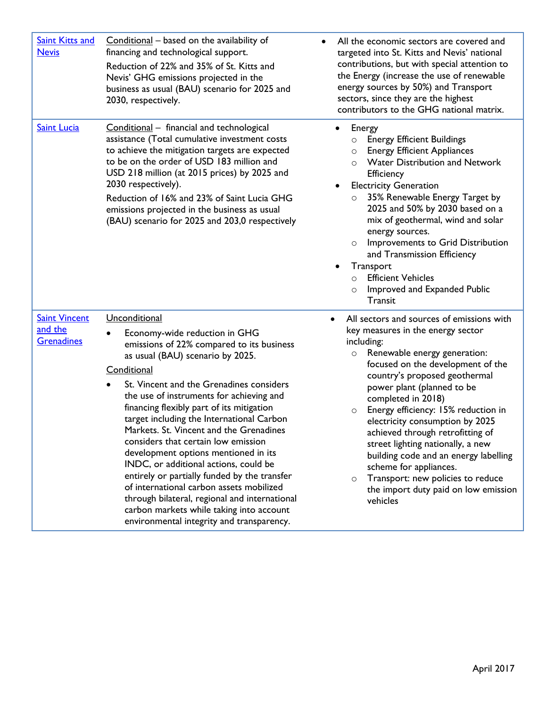| <b>Saint Kitts and</b><br><b>Nevis</b>        | Conditional - based on the availability of<br>financing and technological support.<br>Reduction of 22% and 35% of St. Kitts and<br>Nevis' GHG emissions projected in the<br>business as usual (BAU) scenario for 2025 and<br>2030, respectively.                                                                                                                                                                                                                                                                                                                                                                                                                                                                                          | All the economic sectors are covered and<br>targeted into St. Kitts and Nevis' national<br>contributions, but with special attention to<br>the Energy (increase the use of renewable<br>energy sources by 50%) and Transport<br>sectors, since they are the highest<br>contributors to the GHG national matrix.                                                                                                                                                                                                                                                                                        |
|-----------------------------------------------|-------------------------------------------------------------------------------------------------------------------------------------------------------------------------------------------------------------------------------------------------------------------------------------------------------------------------------------------------------------------------------------------------------------------------------------------------------------------------------------------------------------------------------------------------------------------------------------------------------------------------------------------------------------------------------------------------------------------------------------------|--------------------------------------------------------------------------------------------------------------------------------------------------------------------------------------------------------------------------------------------------------------------------------------------------------------------------------------------------------------------------------------------------------------------------------------------------------------------------------------------------------------------------------------------------------------------------------------------------------|
| <b>Saint Lucia</b>                            | Conditional - financial and technological<br>assistance (Total cumulative investment costs<br>to achieve the mitigation targets are expected<br>to be on the order of USD 183 million and<br>USD 218 million (at 2015 prices) by 2025 and<br>2030 respectively).<br>Reduction of 16% and 23% of Saint Lucia GHG<br>emissions projected in the business as usual<br>(BAU) scenario for 2025 and 203,0 respectively                                                                                                                                                                                                                                                                                                                         | Energy<br><b>Energy Efficient Buildings</b><br>$\circ$<br><b>Energy Efficient Appliances</b><br>O<br><b>Water Distribution and Network</b><br>$\circ$<br>Efficiency<br><b>Electricity Generation</b><br>35% Renewable Energy Target by<br>$\circ$<br>2025 and 50% by 2030 based on a<br>mix of geothermal, wind and solar<br>energy sources.<br>Improvements to Grid Distribution<br>$\circ$<br>and Transmission Efficiency<br>Transport<br><b>Efficient Vehicles</b><br>$\circ$<br>Improved and Expanded Public<br>$\circ$<br>Transit                                                                 |
| <b>Saint Vincent</b><br>and the<br>Grenadines | Unconditional<br>Economy-wide reduction in GHG<br>emissions of 22% compared to its business<br>as usual (BAU) scenario by 2025.<br>Conditional<br>St. Vincent and the Grenadines considers<br>the use of instruments for achieving and<br>financing flexibly part of its mitigation<br>target including the International Carbon<br>Markets. St. Vincent and the Grenadines<br>considers that certain low emission<br>development options mentioned in its<br>INDC, or additional actions, could be<br>entirely or partially funded by the transfer<br>of international carbon assets mobilized<br>through bilateral, regional and international<br>carbon markets while taking into account<br>environmental integrity and transparency. | All sectors and sources of emissions with<br>key measures in the energy sector<br>including:<br>Renewable energy generation:<br>$\circ$<br>focused on the development of the<br>country's proposed geothermal<br>power plant (planned to be<br>completed in 2018)<br>Energy efficiency: 15% reduction in<br>$\circ$<br>electricity consumption by 2025<br>achieved through retrofitting of<br>street lighting nationally, a new<br>building code and an energy labelling<br>scheme for appliances.<br>Transport: new policies to reduce<br>$\circ$<br>the import duty paid on low emission<br>vehicles |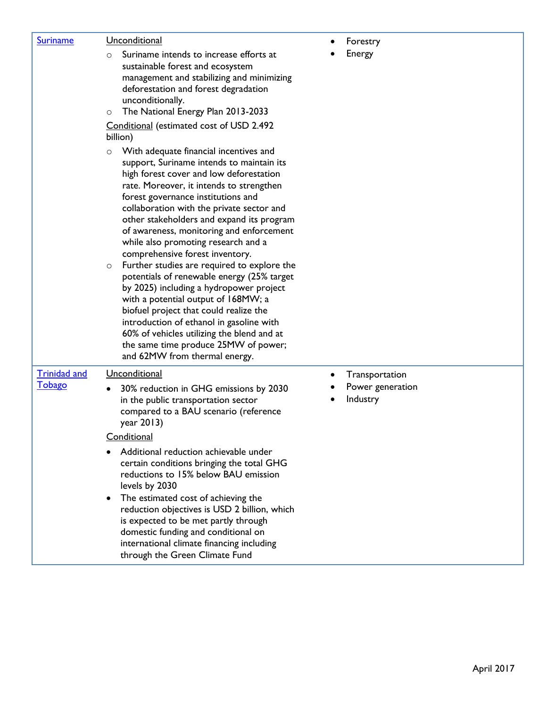| <b>Suriname</b>                      | Unconditional<br>Suriname intends to increase efforts at<br>$\circ$<br>sustainable forest and ecosystem<br>management and stabilizing and minimizing<br>deforestation and forest degradation<br>unconditionally.<br>The National Energy Plan 2013-2033<br>$\circ$<br>Conditional (estimated cost of USD 2.492<br>billion)<br>With adequate financial incentives and<br>$\circ$<br>support, Suriname intends to maintain its<br>high forest cover and low deforestation<br>rate. Moreover, it intends to strengthen<br>forest governance institutions and<br>collaboration with the private sector and<br>other stakeholders and expand its program<br>of awareness, monitoring and enforcement<br>while also promoting research and a<br>comprehensive forest inventory.<br>Further studies are required to explore the<br>$\circ$<br>potentials of renewable energy (25% target<br>by 2025) including a hydropower project<br>with a potential output of 168MW; a<br>biofuel project that could realize the<br>introduction of ethanol in gasoline with<br>60% of vehicles utilizing the blend and at<br>the same time produce 25MW of power;<br>and 62MW from thermal energy. | Forestry<br>Energy                             |
|--------------------------------------|---------------------------------------------------------------------------------------------------------------------------------------------------------------------------------------------------------------------------------------------------------------------------------------------------------------------------------------------------------------------------------------------------------------------------------------------------------------------------------------------------------------------------------------------------------------------------------------------------------------------------------------------------------------------------------------------------------------------------------------------------------------------------------------------------------------------------------------------------------------------------------------------------------------------------------------------------------------------------------------------------------------------------------------------------------------------------------------------------------------------------------------------------------------------------------|------------------------------------------------|
| <b>Trinidad and</b><br><b>Tobago</b> | Unconditional<br>30% reduction in GHG emissions by 2030<br>in the public transportation sector<br>compared to a BAU scenario (reference<br>year 2013)                                                                                                                                                                                                                                                                                                                                                                                                                                                                                                                                                                                                                                                                                                                                                                                                                                                                                                                                                                                                                           | Transportation<br>Power generation<br>Industry |
|                                      | Conditional<br>Additional reduction achievable under<br>certain conditions bringing the total GHG<br>reductions to 15% below BAU emission<br>levels by 2030<br>The estimated cost of achieving the<br>reduction objectives is USD 2 billion, which<br>is expected to be met partly through<br>domestic funding and conditional on<br>international climate financing including<br>through the Green Climate Fund                                                                                                                                                                                                                                                                                                                                                                                                                                                                                                                                                                                                                                                                                                                                                                |                                                |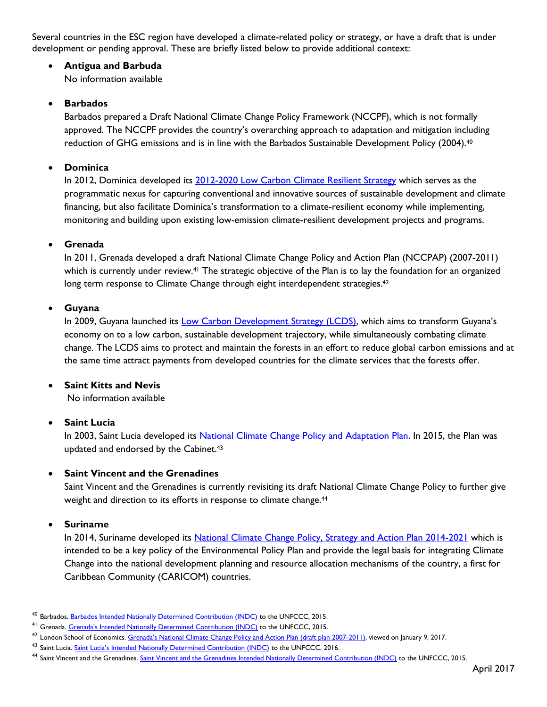Several countries in the ESC region have developed a climate-related policy or strategy, or have a draft that is under development or pending approval. These are briefly listed below to provide additional context:

# x **Antigua and Barbuda**

No information available

## **Barbados**

Barbados prepared a Draft National Climate Change Policy Framework (NCCPF), which is not formally approved. The NCCPF provides the country's overarching approach to adaptation and mitigation including reduction of GHG emissions and is in line with the Barbados Sustainable Development Policy (2004).<sup>40</sup>

## **•** Dominica

In 2012, Dominica developed its 2012-2020 [Low Carbon Climate Resilient Strategy](https://unfccc.int/files/cooperation_support/nama/application/pdf/dominica_low_carbon_climate_resilient_strategy__(finale).pdf) which serves as the programmatic nexus for capturing conventional and innovative sources of sustainable development and climate financing, but also facilitate Dominica's transformation to a climate-resilient economy while implementing, monitoring and building upon existing low-emission climate-resilient development projects and programs.

#### x **Grenada**

In 2011, Grenada developed a draft National Climate Change Policy and Action Plan (NCCPAP) (2007-2011) which is currently under review.<sup>41</sup> The strategic objective of the Plan is to lay the foundation for an organized long term response to Climate Change through eight interdependent strategies.<sup>42</sup>

#### x **Guyana**

In 2009, Guyana launched its [Low Carbon Development Strategy \(LCDS\)](https://www.lcds.gov.gy/), which aims to transform Guyana's economy on to a low carbon, sustainable development trajectory, while simultaneously combating climate change. The LCDS aims to protect and maintain the forests in an effort to reduce global carbon emissions and at the same time attract payments from developed countries for the climate services that the forests offer.

#### **Saint Kitts and Nevis**

No information available

## **•** Saint Lucia

In 2003, Saint Lucia developed its [National Climate Change Policy and Adaptation Plan.](http://www.preventionweb.net/files/13471_nccpolicyadaptation27june200302.pdf) In 2015, the Plan was updated and endorsed by the Cabinet.43

## **Saint Vincent and the Grenadines**

Saint Vincent and the Grenadines is currently revisiting its draft National Climate Change Policy to further give weight and direction to its efforts in response to climate change.<sup>44</sup>

## **•** Suriname

In 2014, Suriname developed its [National Climate Change Policy, Strategy and Action Plan 2014-2021](http://dms.caribbeanclimate.bz/php/gateway/OKH.php?id=6508) which is intended to be a key policy of the Environmental Policy Plan and provide the legal basis for integrating Climate Change into the national development planning and resource allocation mechanisms of the country, a first for Caribbean Community (CARICOM) countries.

<sup>&</sup>lt;sup>40</sup> Barbados. [Barbados Intended Nationally Determined Contribution \(INDC\)](http://www4.unfccc.int/ndcregistry/PublishedDocuments/Barbados%20First/Barbados%20INDC%20FINAL%20September%20%2028,%202015.pdf) to the UNFCCC, 2015.

<sup>&</sup>lt;sup>41</sup> Grenada. [Grenada's Intended Nationally Determined Contribution \(INDC\)](http://www4.unfccc.int/ndcregistry/PublishedDocuments/Grenada%20First/Grenada%20INDC.pdf) to the UNFCCC, 2015.

<sup>&</sup>lt;sup>42</sup> London School of Economics. <u>[Grenada's National Climate Change Policy and Action Plan \(draft plan 2007](http://www.lse.ac.uk/GranthamInstitute/law/national-climate-change-policy-and-action-plan-draft-plan-2007-2011/)-2011), viewed on January 9, 2017.</u>

<sup>43</sup> Saint Lucia. [Saint Lucia's Intended Nationally Determined Contribution \(INDC\)](http://www4.unfccc.int/ndcregistry/PublishedDocuments/Saint%20Lucia%20First/Saint%20Lucia) to the UNFCCC, 2016.

<sup>&</sup>lt;sup>44</sup> Saint Vincent and the Grenadines. [Saint Vincent and the Grenadines Intended Nationally Determined Contribution \(INDC\)](http://www4.unfccc.int/submissions/INDC/Published%20Documents/Saint%20Vincent%20and%20Grenadines/1/SVG_INDC_Final.pdf) to the UNFCCC, 2015.